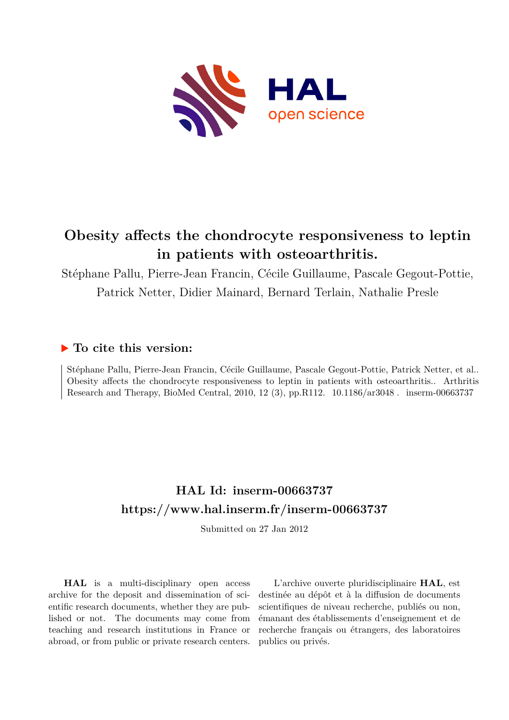

# **Obesity affects the chondrocyte responsiveness to leptin in patients with osteoarthritis.**

Stéphane Pallu, Pierre-Jean Francin, Cécile Guillaume, Pascale Gegout-Pottie, Patrick Netter, Didier Mainard, Bernard Terlain, Nathalie Presle

## **To cite this version:**

Stéphane Pallu, Pierre-Jean Francin, Cécile Guillaume, Pascale Gegout-Pottie, Patrick Netter, et al.. Obesity affects the chondrocyte responsiveness to leptin in patients with osteoarthritis.. Arthritis Research and Therapy, BioMed Central, 2010, 12 (3), pp.R112. 10.1186/ar3048. inserm-00663737

# **HAL Id: inserm-00663737 <https://www.hal.inserm.fr/inserm-00663737>**

Submitted on 27 Jan 2012

**HAL** is a multi-disciplinary open access archive for the deposit and dissemination of scientific research documents, whether they are published or not. The documents may come from teaching and research institutions in France or abroad, or from public or private research centers.

L'archive ouverte pluridisciplinaire **HAL**, est destinée au dépôt et à la diffusion de documents scientifiques de niveau recherche, publiés ou non, émanant des établissements d'enseignement et de recherche français ou étrangers, des laboratoires publics ou privés.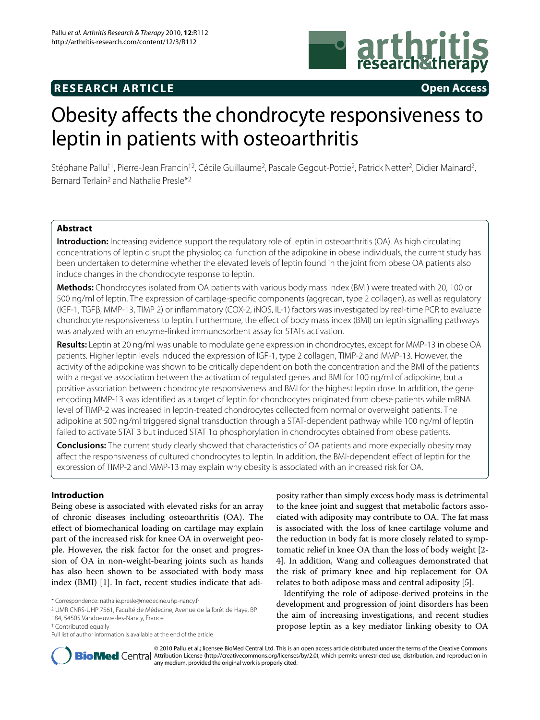# **RESEARCH ARTICLE Open Access**

# Obesity affects the chondrocyte responsiveness to leptin in patients with osteoarthritis

Stéphane Pallu<sup>†1</sup>, Pierre-Jean Francin<sup>†2</sup>, Cécile Guillaume<sup>2</sup>, Pascale Gegout-Pottie<sup>2</sup>, Patrick Netter<sup>2</sup>, Didier Mainard<sup>2</sup>, Bernard Terlain2 and Nathalie Presle\*2

### **Abstract**

**Introduction:** Increasing evidence support the regulatory role of leptin in osteoarthritis (OA). As high circulating concentrations of leptin disrupt the physiological function of the adipokine in obese individuals, the current study has been undertaken to determine whether the elevated levels of leptin found in the joint from obese OA patients also induce changes in the chondrocyte response to leptin.

**Methods:** Chondrocytes isolated from OA patients with various body mass index (BMI) were treated with 20, 100 or 500 ng/ml of leptin. The expression of cartilage-specific components (aggrecan, type 2 collagen), as well as regulatory (IGF-1, TGFβ, MMP-13, TIMP 2) or inflammatory (COX-2, iNOS, IL-1) factors was investigated by real-time PCR to evaluate chondrocyte responsiveness to leptin. Furthermore, the effect of body mass index (BMI) on leptin signalling pathways was analyzed with an enzyme-linked immunosorbent assay for STATs activation.

**Results:** Leptin at 20 ng/ml was unable to modulate gene expression in chondrocytes, except for MMP-13 in obese OA patients. Higher leptin levels induced the expression of IGF-1, type 2 collagen, TIMP-2 and MMP-13. However, the activity of the adipokine was shown to be critically dependent on both the concentration and the BMI of the patients with a negative association between the activation of regulated genes and BMI for 100 ng/ml of adipokine, but a positive association between chondrocyte responsiveness and BMI for the highest leptin dose. In addition, the gene encoding MMP-13 was identified as a target of leptin for chondrocytes originated from obese patients while mRNA level of TIMP-2 was increased in leptin-treated chondrocytes collected from normal or overweight patients. The adipokine at 500 ng/ml triggered signal transduction through a STAT-dependent pathway while 100 ng/ml of leptin failed to activate STAT 3 but induced STAT 1α phosphorylation in chondrocytes obtained from obese patients.

**Conclusions:** The current study clearly showed that characteristics of OA patients and more expecially obesity may affect the responsiveness of cultured chondrocytes to leptin. In addition, the BMI-dependent effect of leptin for the expression of TIMP-2 and MMP-13 may explain why obesity is associated with an increased risk for OA.

#### **Introduction**

Being obese is associated with elevated risks for an array of chronic diseases including osteoarthritis (OA). The effect of biomechanical loading on cartilage may explain part of the increased risk for knee OA in overweight people. However, the risk factor for the onset and progression of OA in non-weight-bearing joints such as hands has also been shown to be associated with body mass index (BMI) [1]. In fact, recent studies indicate that adiposity rather than simply excess body mass is detrimental to the knee joint and suggest that metabolic factors associated with adiposity may contribute to OA. The fat mass is associated with the loss of knee cartilage volume and the reduction in body fat is more closely related to symptomatic relief in knee OA than the loss of body weight [2- 4]. In addition, Wang and colleagues demonstrated that the risk of primary knee and hip replacement for OA relates to both adipose mass and central adiposity [5].

Identifying the role of adipose-derived proteins in the development and progression of joint disorders has been the aim of increasing investigations, and recent studies propose leptin as a key mediator linking obesity to OA



© 2010 Pallu et al.; licensee BioMed Central Ltd. This is an open access article distributed under the terms of the Creative Commons **BioMed** Central Attribution License (http://creativecommons.org/licenses/by/2.0), which permits unrestricted use, distribution, and reproduction in any medium, provided the original work is properly cited.

<sup>\*</sup> Correspondence: nathalie.presle@medecine.uhp-nancy.fr

<sup>2</sup> UMR CNRS-UHP 7561, Faculté de Médecine, Avenue de la forêt de Haye, BP

<sup>184, 54505</sup> Vandoeuvre-les-Nancy, France

<sup>†</sup> Contributed equally

Full list of author information is available at the end of the article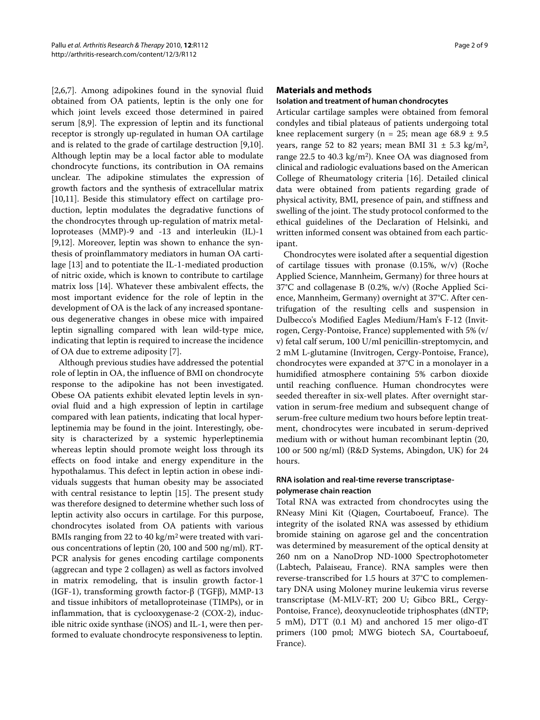[2,6,7]. Among adipokines found in the synovial fluid obtained from OA patients, leptin is the only one for which joint levels exceed those determined in paired serum [8,9]. The expression of leptin and its functional receptor is strongly up-regulated in human OA cartilage and is related to the grade of cartilage destruction [9,10]. Although leptin may be a local factor able to modulate chondrocyte functions, its contribution in OA remains unclear. The adipokine stimulates the expression of growth factors and the synthesis of extracellular matrix [10,11]. Beside this stimulatory effect on cartilage production, leptin modulates the degradative functions of the chondrocytes through up-regulation of matrix metalloproteases (MMP)-9 and -13 and interleukin (IL)-1 [9,12]. Moreover, leptin was shown to enhance the synthesis of proinflammatory mediators in human OA cartilage [13] and to potentiate the IL-1-mediated production of nitric oxide, which is known to contribute to cartilage matrix loss [14]. Whatever these ambivalent effects, the most important evidence for the role of leptin in the development of OA is the lack of any increased spontaneous degenerative changes in obese mice with impaired leptin signalling compared with lean wild-type mice, indicating that leptin is required to increase the incidence of OA due to extreme adiposity [7].

Although previous studies have addressed the potential role of leptin in OA, the influence of BMI on chondrocyte response to the adipokine has not been investigated. Obese OA patients exhibit elevated leptin levels in synovial fluid and a high expression of leptin in cartilage compared with lean patients, indicating that local hyperleptinemia may be found in the joint. Interestingly, obesity is characterized by a systemic hyperleptinemia whereas leptin should promote weight loss through its effects on food intake and energy expenditure in the hypothalamus. This defect in leptin action in obese individuals suggests that human obesity may be associated with central resistance to leptin [15]. The present study was therefore designed to determine whether such loss of leptin activity also occurs in cartilage. For this purpose, chondrocytes isolated from OA patients with various BMIs ranging from 22 to 40 kg/m2 were treated with various concentrations of leptin (20, 100 and 500 ng/ml). RT-PCR analysis for genes encoding cartilage components (aggrecan and type 2 collagen) as well as factors involved in matrix remodeling, that is insulin growth factor-1 (IGF-1), transforming growth factor-β (TGFβ), MMP-13 and tissue inhibitors of metalloproteinase (TIMPs), or in inflammation, that is cyclooxygenase-2 (COX-2), inducible nitric oxide synthase (iNOS) and IL-1, were then performed to evaluate chondrocyte responsiveness to leptin.

#### **Materials and methods**

#### **Isolation and treatment of human chondrocytes**

Articular cartilage samples were obtained from femoral condyles and tibial plateaus of patients undergoing total knee replacement surgery (n = 25; mean age 68.9  $\pm$  9.5 years, range 52 to 82 years; mean BMI 31  $\pm$  5.3 kg/m<sup>2</sup>, range 22.5 to 40.3 kg/m<sup>2</sup>). Knee OA was diagnosed from clinical and radiologic evaluations based on the American College of Rheumatology criteria [16]. Detailed clinical data were obtained from patients regarding grade of physical activity, BMI, presence of pain, and stiffness and swelling of the joint. The study protocol conformed to the ethical guidelines of the Declaration of Helsinki, and written informed consent was obtained from each participant.

Chondrocytes were isolated after a sequential digestion of cartilage tissues with pronase (0.15%, w/v) (Roche Applied Science, Mannheim, Germany) for three hours at 37°C and collagenase B (0.2%, w/v) (Roche Applied Science, Mannheim, Germany) overnight at 37°C. After centrifugation of the resulting cells and suspension in Dulbecco's Modified Eagles Medium/Ham's F-12 (Invitrogen, Cergy-Pontoise, France) supplemented with 5% (v/ v) fetal calf serum, 100 U/ml penicillin-streptomycin, and 2 mM L-glutamine (Invitrogen, Cergy-Pontoise, France), chondrocytes were expanded at 37°C in a monolayer in a humidified atmosphere containing 5% carbon dioxide until reaching confluence. Human chondrocytes were seeded thereafter in six-well plates. After overnight starvation in serum-free medium and subsequent change of serum-free culture medium two hours before leptin treatment, chondrocytes were incubated in serum-deprived medium with or without human recombinant leptin (20, 100 or 500 ng/ml) (R&D Systems, Abingdon, UK) for 24 hours.

#### **RNA isolation and real-time reverse transcriptasepolymerase chain reaction**

Total RNA was extracted from chondrocytes using the RNeasy Mini Kit (Qiagen, Courtaboeuf, France). The integrity of the isolated RNA was assessed by ethidium bromide staining on agarose gel and the concentration was determined by measurement of the optical density at 260 nm on a NanoDrop ND-1000 Spectrophotometer (Labtech, Palaiseau, France). RNA samples were then reverse-transcribed for 1.5 hours at 37°C to complementary DNA using Moloney murine leukemia virus reverse transcriptase (M-MLV-RT; 200 U; Gibco BRL, Cergy-Pontoise, France), deoxynucleotide triphosphates (dNTP; 5 mM), DTT (0.1 M) and anchored 15 mer oligo-dT primers (100 pmol; MWG biotech SA, Courtaboeuf, France).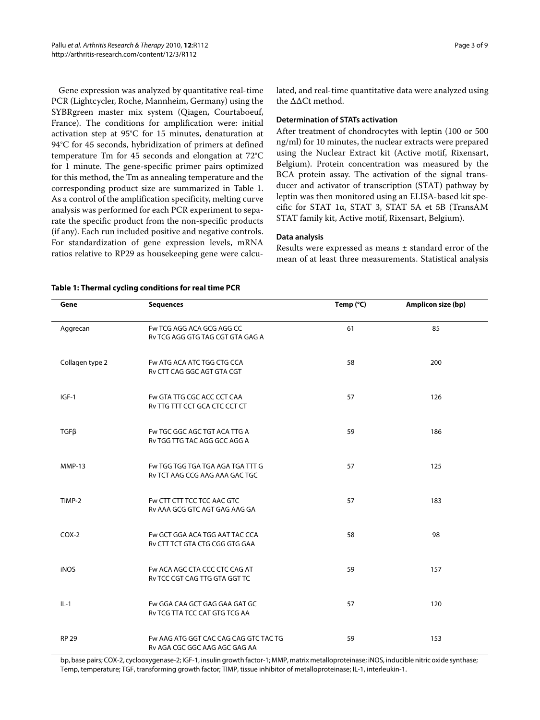Gene expression was analyzed by quantitative real-time PCR (Lightcycler, Roche, Mannheim, Germany) using the SYBRgreen master mix system (Qiagen, Courtaboeuf, France). The conditions for amplification were: initial activation step at 95°C for 15 minutes, denaturation at 94°C for 45 seconds, hybridization of primers at defined temperature Tm for 45 seconds and elongation at 72°C for 1 minute. The gene-specific primer pairs optimized for this method, the Tm as annealing temperature and the corresponding product size are summarized in Table 1. As a control of the amplification specificity, melting curve analysis was performed for each PCR experiment to separate the specific product from the non-specific products (if any). Each run included positive and negative controls. For standardization of gene expression levels, mRNA ratios relative to RP29 as housekeeping gene were calculated, and real-time quantitative data were analyzed using the ΔΔCt method.

#### **Determination of STATs activation**

After treatment of chondrocytes with leptin (100 or 500 ng/ml) for 10 minutes, the nuclear extracts were prepared using the Nuclear Extract kit (Active motif, Rixensart, Belgium). Protein concentration was measured by the BCA protein assay. The activation of the signal transducer and activator of transcription (STAT) pathway by leptin was then monitored using an ELISA-based kit specific for STAT 1α, STAT 3, STAT 5A et 5B (TransAM STAT family kit, Active motif, Rixensart, Belgium).

#### **Data analysis**

Results were expressed as means ± standard error of the mean of at least three measurements. Statistical analysis

| Gene            | <b>Sequences</b>                                                       | Temp (°C) | Amplicon size (bp)<br>85 |  |
|-----------------|------------------------------------------------------------------------|-----------|--------------------------|--|
| Aggrecan        | Fw TCG AGG ACA GCG AGG CC<br>Ry TCG AGG GTG TAG CGT GTA GAG A          | 61        |                          |  |
| Collagen type 2 | Fw ATG ACA ATC TGG CTG CCA<br>Ry CTT CAG GGC AGT GTA CGT               | 58        | 200                      |  |
| $IGF-1$         | Fw GTA TTG CGC ACC CCT CAA<br>Rv TTG TTT CCT GCA CTC CCT CT            | 57        | 126                      |  |
| $TGF\beta$      | Fw TGC GGC AGC TGT ACA TTG A<br>Ry TGG TTG TAC AGG GCC AGG A           | 59        | 186                      |  |
| <b>MMP-13</b>   | Fw TGG TGG TGA TGA AGA TGA TTT G<br>RV TCT AAG CCG AAG AAA GAC TGC     | 57        | 125                      |  |
| TIMP-2          | FW CTT CTT TCC TCC AAC GTC<br>RV AAA GCG GTC AGT GAG AAG GA            | 57        | 183                      |  |
| $COX-2$         | Fw GCT GGA ACA TGG AAT TAC CCA<br>RV CTT TCT GTA CTG CGG GTG GAA       | 58        | 98                       |  |
| <b>iNOS</b>     | Fw ACA AGC CTA CCC CTC CAG AT<br>RV TCC CGT CAG TTG GTA GGT TC         | 59        | 157                      |  |
| $IL-1$          | Fw GGA CAA GCT GAG GAA GAT GC<br>RV TCG TTA TCC CAT GTG TCG AA         | 57        | 120                      |  |
| <b>RP 29</b>    | Fw AAG ATG GGT CAC CAG CAG GTC TAC TG<br>Ry AGA CGC GGC AAG AGC GAG AA | 59        | 153                      |  |

#### **Table 1: Thermal cycling conditions for real time PCR**

bp, base pairs; COX-2, cyclooxygenase-2; IGF-1, insulin growth factor-1; MMP, matrix metalloproteinase; iNOS, inducible nitric oxide synthase; Temp, temperature; TGF, transforming growth factor; TIMP, tissue inhibitor of metalloproteinase; IL-1, interleukin-1.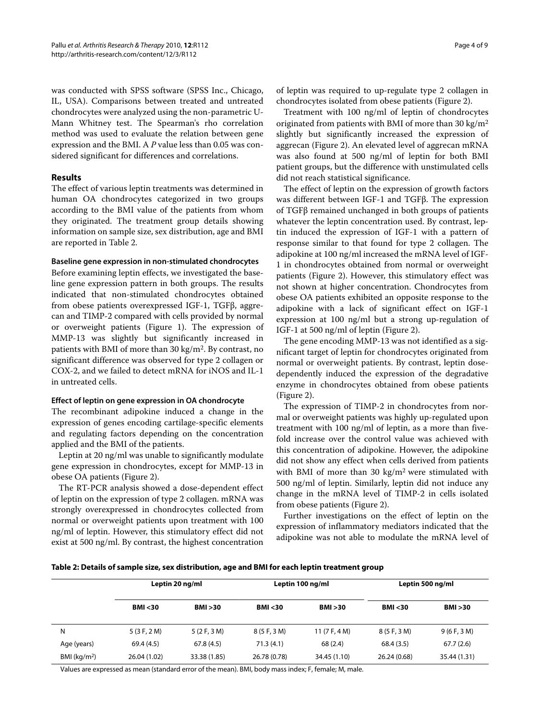was conducted with SPSS software (SPSS Inc., Chicago, IL, USA). Comparisons between treated and untreated chondrocytes were analyzed using the non-parametric U-Mann Whitney test. The Spearman's rho correlation method was used to evaluate the relation between gene expression and the BMI. A *P* value less than 0.05 was considered significant for differences and correlations.

#### **Results**

The effect of various leptin treatments was determined in human OA chondrocytes categorized in two groups according to the BMI value of the patients from whom they originated. The treatment group details showing information on sample size, sex distribution, age and BMI are reported in Table 2.

#### **Baseline gene expression in non-stimulated chondrocytes**

Before examining leptin effects, we investigated the baseline gene expression pattern in both groups. The results indicated that non-stimulated chondrocytes obtained from obese patients overexpressed IGF-1, TGFβ, aggrecan and TIMP-2 compared with cells provided by normal or overweight patients (Figure 1). The expression of MMP-13 was slightly but significantly increased in patients with BMI of more than 30 kg/m2. By contrast, no significant difference was observed for type 2 collagen or COX-2, and we failed to detect mRNA for iNOS and IL-1 in untreated cells.

#### **Effect of leptin on gene expression in OA chondrocyte**

The recombinant adipokine induced a change in the expression of genes encoding cartilage-specific elements and regulating factors depending on the concentration applied and the BMI of the patients.

Leptin at 20 ng/ml was unable to significantly modulate gene expression in chondrocytes, except for MMP-13 in obese OA patients (Figure 2).

The RT-PCR analysis showed a dose-dependent effect of leptin on the expression of type 2 collagen. mRNA was strongly overexpressed in chondrocytes collected from normal or overweight patients upon treatment with 100 ng/ml of leptin. However, this stimulatory effect did not exist at 500 ng/ml. By contrast, the highest concentration

of leptin was required to up-regulate type 2 collagen in chondrocytes isolated from obese patients (Figure 2).

Treatment with 100 ng/ml of leptin of chondrocytes originated from patients with BMI of more than 30 kg/m<sup>2</sup> slightly but significantly increased the expression of aggrecan (Figure 2). An elevated level of aggrecan mRNA was also found at 500 ng/ml of leptin for both BMI patient groups, but the difference with unstimulated cells did not reach statistical significance.

The effect of leptin on the expression of growth factors was different between IGF-1 and TGFβ. The expression of TGFβ remained unchanged in both groups of patients whatever the leptin concentration used. By contrast, leptin induced the expression of IGF-1 with a pattern of response similar to that found for type 2 collagen. The adipokine at 100 ng/ml increased the mRNA level of IGF-1 in chondrocytes obtained from normal or overweight patients (Figure 2). However, this stimulatory effect was not shown at higher concentration. Chondrocytes from obese OA patients exhibited an opposite response to the adipokine with a lack of significant effect on IGF-1 expression at 100 ng/ml but a strong up-regulation of IGF-1 at 500 ng/ml of leptin (Figure 2).

The gene encoding MMP-13 was not identified as a significant target of leptin for chondrocytes originated from normal or overweight patients. By contrast, leptin dosedependently induced the expression of the degradative enzyme in chondrocytes obtained from obese patients (Figure 2).

The expression of TIMP-2 in chondrocytes from normal or overweight patients was highly up-regulated upon treatment with 100 ng/ml of leptin, as a more than fivefold increase over the control value was achieved with this concentration of adipokine. However, the adipokine did not show any effect when cells derived from patients with BMI of more than 30 kg/m2 were stimulated with 500 ng/ml of leptin. Similarly, leptin did not induce any change in the mRNA level of TIMP-2 in cells isolated from obese patients (Figure 2).

Further investigations on the effect of leptin on the expression of inflammatory mediators indicated that the adipokine was not able to modulate the mRNA level of

|                 | Leptin 20 ng/ml   |              | Leptin 100 ng/ml  |                 | Leptin 500 ng/ml  |              |
|-----------------|-------------------|--------------|-------------------|-----------------|-------------------|--------------|
|                 | <b>BMI &lt;30</b> | BMI > 30     | <b>BMI &lt;30</b> | BMI > 30        | <b>BMI &lt;30</b> | BMI > 30     |
| N               | 5(3 F, 2 M)       | 5(2 F, 3 M)  | 8 (5 F, 3 M)      | 11 $(7 F, 4 M)$ | 8(5 F, 3 M)       | 9(6 F, 3 M)  |
| Age (years)     | 69.4 (4.5)        | 67.8(4.5)    | 71.3(4.1)         | 68(2.4)         | 68.4(3.5)         | 67.7(2.6)    |
| BMI ( $kg/m2$ ) | 26.04 (1.02)      | 33.38 (1.85) | 26.78 (0.78)      | 34.45 (1.10)    | 26.24 (0.68)      | 35.44 (1.31) |

Values are expressed as mean (standard error of the mean). BMI, body mass index; F, female; M, male.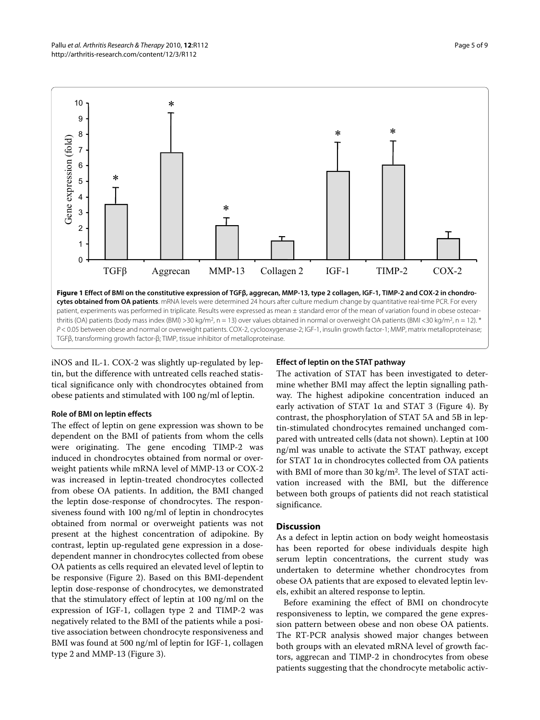

patient, experiments was performed in triplicate. Results were expressed as mean ± standard error of the mean of variation found in obese osteoarthritis (OA) patients (body mass index (BMI) >30 kg/m<sup>2</sup>, n = 13) over values obtained in normal or overweight OA patients (BMI <30 kg/m<sup>2</sup>, n = 12). \* P < 0.05 between obese and normal or overweight patients. COX-2, cyclooxygenase-2; IGF-1, insulin growth factor-1; MMP, matrix metalloproteinase; TGFβ, transforming growth factor-β; TIMP, tissue inhibitor of metalloproteinase.

iNOS and IL-1. COX-2 was slightly up-regulated by leptin, but the difference with untreated cells reached statistical significance only with chondrocytes obtained from obese patients and stimulated with 100 ng/ml of leptin.

#### **Role of BMI on leptin effects**

The effect of leptin on gene expression was shown to be dependent on the BMI of patients from whom the cells were originating. The gene encoding TIMP-2 was induced in chondrocytes obtained from normal or overweight patients while mRNA level of MMP-13 or COX-2 was increased in leptin-treated chondrocytes collected from obese OA patients. In addition, the BMI changed the leptin dose-response of chondrocytes. The responsiveness found with 100 ng/ml of leptin in chondrocytes obtained from normal or overweight patients was not present at the highest concentration of adipokine. By contrast, leptin up-regulated gene expression in a dosedependent manner in chondrocytes collected from obese OA patients as cells required an elevated level of leptin to be responsive (Figure 2). Based on this BMI-dependent leptin dose-response of chondrocytes, we demonstrated that the stimulatory effect of leptin at 100 ng/ml on the expression of IGF-1, collagen type 2 and TIMP-2 was negatively related to the BMI of the patients while a positive association between chondrocyte responsiveness and BMI was found at 500 ng/ml of leptin for IGF-1, collagen type 2 and MMP-13 (Figure 3).

### **Effect of leptin on the STAT pathway**

The activation of STAT has been investigated to determine whether BMI may affect the leptin signalling pathway. The highest adipokine concentration induced an early activation of STAT  $1\alpha$  and STAT 3 (Figure 4). By contrast, the phosphorylation of STAT 5A and 5B in leptin-stimulated chondrocytes remained unchanged compared with untreated cells (data not shown). Leptin at 100 ng/ml was unable to activate the STAT pathway, except for STAT 1α in chondrocytes collected from OA patients with BMI of more than 30 kg/m2. The level of STAT activation increased with the BMI, but the difference between both groups of patients did not reach statistical significance.

#### **Discussion**

As a defect in leptin action on body weight homeostasis has been reported for obese individuals despite high serum leptin concentrations, the current study was undertaken to determine whether chondrocytes from obese OA patients that are exposed to elevated leptin levels, exhibit an altered response to leptin.

Before examining the effect of BMI on chondrocyte responsiveness to leptin, we compared the gene expression pattern between obese and non obese OA patients. The RT-PCR analysis showed major changes between both groups with an elevated mRNA level of growth factors, aggrecan and TIMP-2 in chondrocytes from obese patients suggesting that the chondrocyte metabolic activ-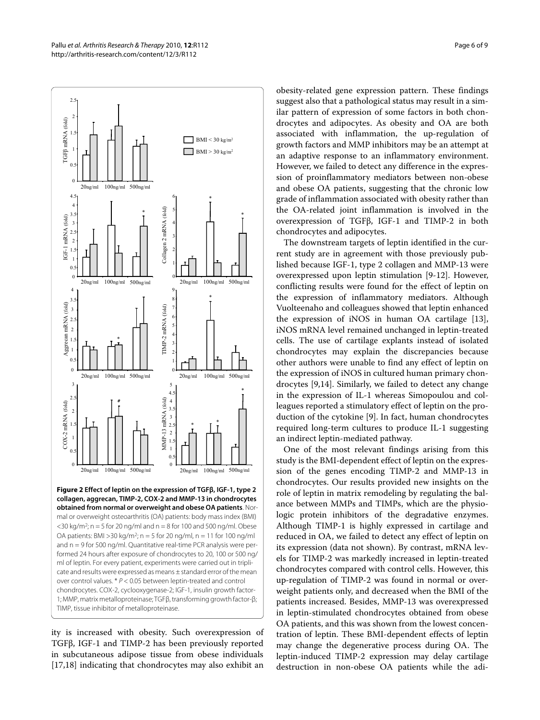

**Figure 2 Effect of leptin on the expression of TGFβ, IGF-1, type 2 collagen, aggrecan, TIMP-2, COX-2 and MMP-13 in chondrocytes obtained from normal or overweight and obese OA patients**. Normal or overweight osteoarthritis (OA) patients: body mass index (BMI)  $<$ 30 kg/m<sup>2</sup>; n = 5 for 20 ng/ml and n = 8 for 100 and 500 ng/ml. Obese OA patients: BMI > 30 kg/m<sup>2</sup>; n = 5 for 20 ng/ml, n = 11 for 100 ng/ml and  $n = 9$  for 500 ng/ml. Quantitative real-time PCR analysis were performed 24 hours after exposure of chondrocytes to 20, 100 or 500 ng/ ml of leptin. For every patient, experiments were carried out in triplicate and results were expressed as means ± standard error of the mean over control values.  $* P < 0.05$  between leptin-treated and control chondrocytes. COX-2, cyclooxygenase-2; IGF-1, insulin growth factor-1; MMP, matrix metalloproteinase; TGFβ, transforming growth factor-β; TIMP, tissue inhibitor of metalloproteinase.

ity is increased with obesity. Such overexpression of TGFβ, IGF-1 and TIMP-2 has been previously reported in subcutaneous adipose tissue from obese individuals [17,18] indicating that chondrocytes may also exhibit an

obesity-related gene expression pattern. These findings suggest also that a pathological status may result in a similar pattern of expression of some factors in both chondrocytes and adipocytes. As obesity and OA are both associated with inflammation, the up-regulation of growth factors and MMP inhibitors may be an attempt at an adaptive response to an inflammatory environment. However, we failed to detect any difference in the expression of proinflammatory mediators between non-obese and obese OA patients, suggesting that the chronic low grade of inflammation associated with obesity rather than the OA-related joint inflammation is involved in the overexpression of TGFβ, IGF-1 and TIMP-2 in both chondrocytes and adipocytes.

The downstream targets of leptin identified in the current study are in agreement with those previously published because IGF-1, type 2 collagen and MMP-13 were overexpressed upon leptin stimulation [9-12]. However, conflicting results were found for the effect of leptin on the expression of inflammatory mediators. Although Vuolteenaho and colleagues showed that leptin enhanced the expression of iNOS in human OA cartilage [13], iNOS mRNA level remained unchanged in leptin-treated cells. The use of cartilage explants instead of isolated chondrocytes may explain the discrepancies because other authors were unable to find any effect of leptin on the expression of iNOS in cultured human primary chondrocytes [9,14]. Similarly, we failed to detect any change in the expression of IL-1 whereas Simopoulou and colleagues reported a stimulatory effect of leptin on the production of the cytokine [9]. In fact, human chondrocytes required long-term cultures to produce IL-1 suggesting an indirect leptin-mediated pathway.

One of the most relevant findings arising from this study is the BMI-dependent effect of leptin on the expression of the genes encoding TIMP-2 and MMP-13 in chondrocytes. Our results provided new insights on the role of leptin in matrix remodeling by regulating the balance between MMPs and TIMPs, which are the physiologic protein inhibitors of the degradative enzymes. Although TIMP-1 is highly expressed in cartilage and reduced in OA, we failed to detect any effect of leptin on its expression (data not shown). By contrast, mRNA levels for TIMP-2 was markedly increased in leptin-treated chondrocytes compared with control cells. However, this up-regulation of TIMP-2 was found in normal or overweight patients only, and decreased when the BMI of the patients increased. Besides, MMP-13 was overexpressed in leptin-stimulated chondrocytes obtained from obese OA patients, and this was shown from the lowest concentration of leptin. These BMI-dependent effects of leptin may change the degenerative process during OA. The leptin-induced TIMP-2 expression may delay cartilage destruction in non-obese OA patients while the adi-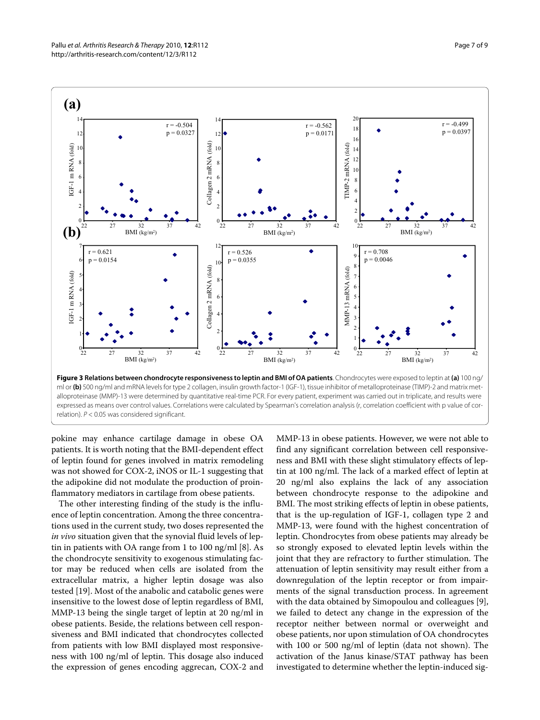

alloproteinase (MMP)-13 were determined by quantitative real-time PCR. For every patient, experiment was carried out in triplicate, and results were expressed as means over control values. Correlations were calculated by Spearman's correlation analysis (r, correlation coefficient with p value of correlation). P < 0.05 was considered significant.

pokine may enhance cartilage damage in obese OA patients. It is worth noting that the BMI-dependent effect of leptin found for genes involved in matrix remodeling was not showed for COX-2, iNOS or IL-1 suggesting that the adipokine did not modulate the production of proinflammatory mediators in cartilage from obese patients.

The other interesting finding of the study is the influence of leptin concentration. Among the three concentrations used in the current study, two doses represented the *in vivo* situation given that the synovial fluid levels of leptin in patients with OA range from 1 to 100 ng/ml [8]. As the chondrocyte sensitivity to exogenous stimulating factor may be reduced when cells are isolated from the extracellular matrix, a higher leptin dosage was also tested [19]. Most of the anabolic and catabolic genes were insensitive to the lowest dose of leptin regardless of BMI, MMP-13 being the single target of leptin at 20 ng/ml in obese patients. Beside, the relations between cell responsiveness and BMI indicated that chondrocytes collected from patients with low BMI displayed most responsiveness with 100 ng/ml of leptin. This dosage also induced the expression of genes encoding aggrecan, COX-2 and

MMP-13 in obese patients. However, we were not able to find any significant correlation between cell responsiveness and BMI with these slight stimulatory effects of leptin at 100 ng/ml. The lack of a marked effect of leptin at 20 ng/ml also explains the lack of any association between chondrocyte response to the adipokine and BMI. The most striking effects of leptin in obese patients, that is the up-regulation of IGF-1, collagen type 2 and MMP-13, were found with the highest concentration of leptin. Chondrocytes from obese patients may already be so strongly exposed to elevated leptin levels within the joint that they are refractory to further stimulation. The attenuation of leptin sensitivity may result either from a downregulation of the leptin receptor or from impairments of the signal transduction process. In agreement with the data obtained by Simopoulou and colleagues [9], we failed to detect any change in the expression of the receptor neither between normal or overweight and obese patients, nor upon stimulation of OA chondrocytes with 100 or 500 ng/ml of leptin (data not shown). The activation of the Janus kinase/STAT pathway has been investigated to determine whether the leptin-induced sig-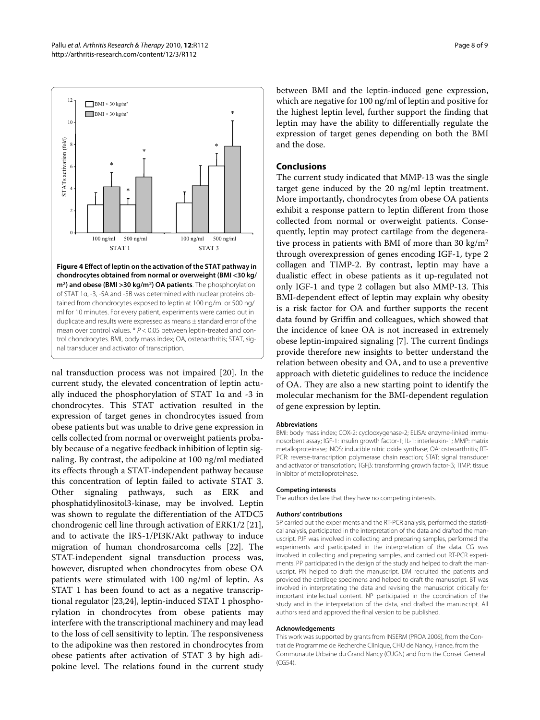

ml for 10 minutes. For every patient, experiments were carried out in duplicate and results were expressed as means ± standard error of the mean over control values.  $* P < 0.05$  between leptin-treated and control chondrocytes. BMI, body mass index; OA, osteoarthritis; STAT, signal transducer and activator of transcription.

nal transduction process was not impaired [20]. In the current study, the elevated concentration of leptin actually induced the phosphorylation of STAT  $1\alpha$  and -3 in chondrocytes. This STAT activation resulted in the expression of target genes in chondrocytes issued from obese patients but was unable to drive gene expression in cells collected from normal or overweight patients probably because of a negative feedback inhibition of leptin signaling. By contrast, the adipokine at 100 ng/ml mediated its effects through a STAT-independent pathway because this concentration of leptin failed to activate STAT 3. Other signaling pathways, such as ERK and phosphatidylinositol3-kinase, may be involved. Leptin was shown to regulate the differentiation of the ATDC5 chondrogenic cell line through activation of ERK1/2 [21], and to activate the IRS-1/PI3K/Akt pathway to induce migration of human chondrosarcoma cells [22]. The STAT-independent signal transduction process was, however, disrupted when chondrocytes from obese OA patients were stimulated with 100 ng/ml of leptin. As STAT 1 has been found to act as a negative transcriptional regulator [23,24], leptin-induced STAT 1 phosphorylation in chondrocytes from obese patients may interfere with the transcriptional machinery and may lead to the loss of cell sensitivity to leptin. The responsiveness to the adipokine was then restored in chondrocytes from obese patients after activation of STAT 3 by high adipokine level. The relations found in the current study

between BMI and the leptin-induced gene expression, which are negative for 100 ng/ml of leptin and positive for the highest leptin level, further support the finding that leptin may have the ability to differentially regulate the expression of target genes depending on both the BMI and the dose.

#### **Conclusions**

The current study indicated that MMP-13 was the single target gene induced by the 20 ng/ml leptin treatment. More importantly, chondrocytes from obese OA patients exhibit a response pattern to leptin different from those collected from normal or overweight patients. Consequently, leptin may protect cartilage from the degenerative process in patients with BMI of more than 30 kg/m<sup>2</sup> through overexpression of genes encoding IGF-1, type 2 collagen and TIMP-2. By contrast, leptin may have a dualistic effect in obese patients as it up-regulated not only IGF-1 and type 2 collagen but also MMP-13. This BMI-dependent effect of leptin may explain why obesity is a risk factor for OA and further supports the recent data found by Griffin and colleagues, which showed that the incidence of knee OA is not increased in extremely obese leptin-impaired signaling [7]. The current findings provide therefore new insights to better understand the relation between obesity and OA, and to use a preventive approach with dietetic guidelines to reduce the incidence of OA. They are also a new starting point to identify the molecular mechanism for the BMI-dependent regulation of gene expression by leptin.

#### **Abbreviations**

BMI: body mass index; COX-2: cyclooxygenase-2; ELISA: enzyme-linked immunosorbent assay; IGF-1: insulin growth factor-1; IL-1: interleukin-1; MMP: matrix metalloproteinase; iNOS: inducible nitric oxide synthase; OA: osteoarthritis; RT-PCR: reverse-transcription polymerase chain reaction; STAT: signal transducer and activator of transcription; TGFβ: transforming growth factor-β; TIMP: tissue inhibitor of metalloproteinase.

#### **Competing interests**

The authors declare that they have no competing interests.

#### **Authors' contributions**

SP carried out the experiments and the RT-PCR analysis, performed the statistical analysis, participated in the interpretation of the data and drafted the manuscript. PJF was involved in collecting and preparing samples, performed the experiments and participated in the interpretation of the data. CG was involved in collecting and preparing samples, and carried out RT-PCR experiments. PP participated in the design of the study and helped to draft the manuscript. PN helped to draft the manuscript. DM recruited the patients and provided the cartilage specimens and helped to draft the manuscript. BT was involved in interpretating the data and revising the manuscript critically for important intellectual content. NP participated in the coordination of the study and in the interpretation of the data, and drafted the manuscript. All authors read and approved the final version to be published.

#### **Acknowledgements**

This work was supported by grants from INSERM (PROA 2006), from the Contrat de Programme de Recherche Clinique, CHU de Nancy, France, from the Communaute Urbaine du Grand Nancy (CUGN) and from the Conseil General  $(CG54)$